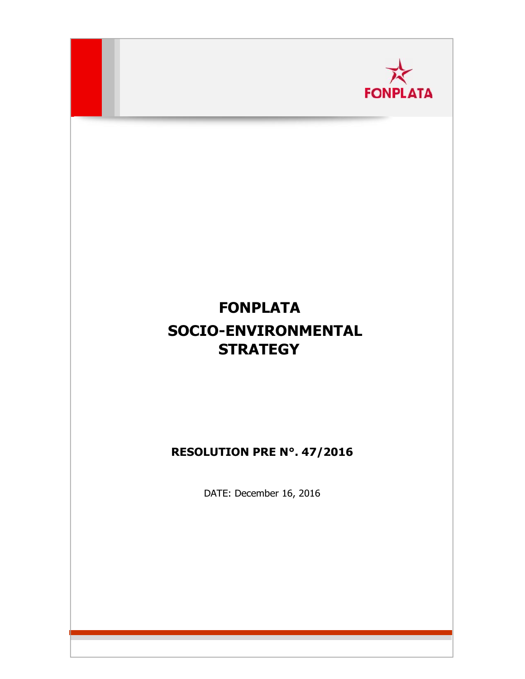

# **FONPLATA SOCIO-ENVIRONMENTAL STRATEGY**

## **RESOLUTION PRE N°. 47/2016**

DATE: December 16, 2016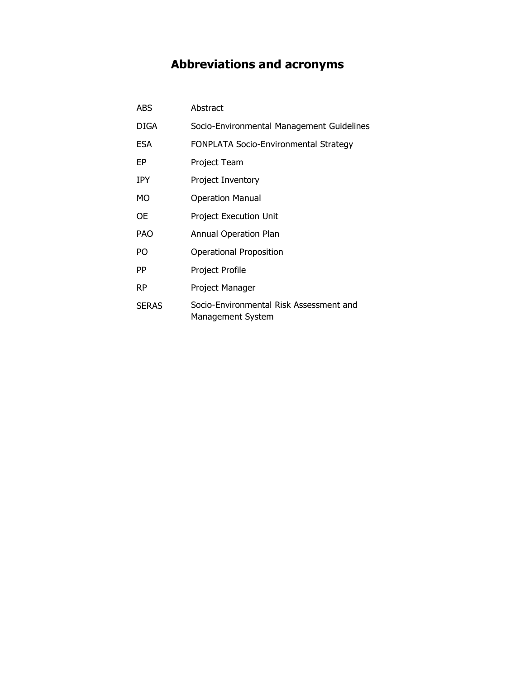## **Abbreviations and acronyms**

| <b>ABS</b>   | Abstract                                                     |
|--------------|--------------------------------------------------------------|
| DIGA         | Socio-Environmental Management Guidelines                    |
| <b>ESA</b>   | FONPLATA Socio-Environmental Strategy                        |
| EP           | Project Team                                                 |
| <b>IPY</b>   | <b>Project Inventory</b>                                     |
| MO           | <b>Operation Manual</b>                                      |
| ОE           | <b>Project Execution Unit</b>                                |
| <b>PAO</b>   | Annual Operation Plan                                        |
| PO           | <b>Operational Proposition</b>                               |
| PP           | Project Profile                                              |
| <b>RP</b>    | Project Manager                                              |
| <b>SERAS</b> | Socio-Environmental Risk Assessment and<br>Management System |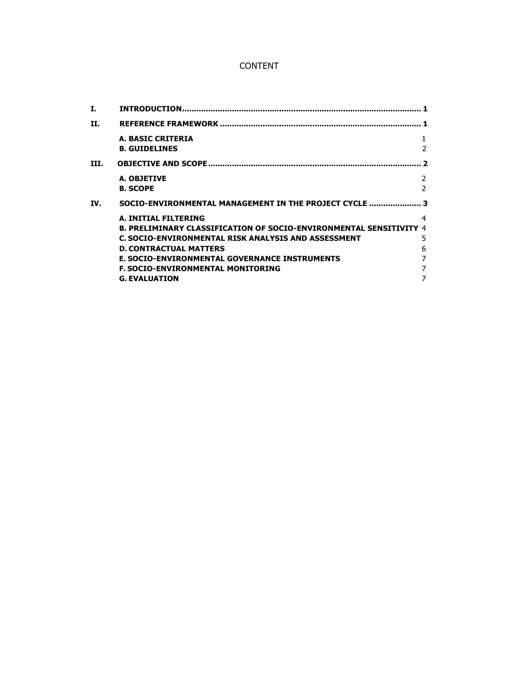## CONTENT

| I.   |                                                                                                                                                                                                                                                                                                                |                            |
|------|----------------------------------------------------------------------------------------------------------------------------------------------------------------------------------------------------------------------------------------------------------------------------------------------------------------|----------------------------|
| Н.   |                                                                                                                                                                                                                                                                                                                |                            |
|      | <b>A. BASIC CRITERIA</b><br><b>B. GUIDELINES</b>                                                                                                                                                                                                                                                               | 1<br>$\overline{2}$        |
| III. |                                                                                                                                                                                                                                                                                                                | $\overline{\phantom{a}}$   |
|      | A. OBJETIVE<br><b>B. SCOPE</b>                                                                                                                                                                                                                                                                                 | 2<br>$\mathcal{P}$         |
| IV.  | SOCIO-ENVIRONMENTAL MANAGEMENT IN THE PROJECT CYCLE                                                                                                                                                                                                                                                            | 3                          |
|      | A. INITIAL FILTERING<br>B. PRELIMINARY CLASSIFICATION OF SOCIO-ENVIRONMENTAL SENSITIVITY 4<br>C. SOCIO-ENVIRONMENTAL RISK ANALYSIS AND ASSESSMENT<br><b>D. CONTRACTUAL MATTERS</b><br><b>E. SOCIO-ENVIRONMENTAL GOVERNANCE INSTRUMENTS</b><br><b>F. SOCIO-ENVIRONMENTAL MONITORING</b><br><b>G. EVALUATION</b> | 4<br>5<br>6<br>7<br>7<br>7 |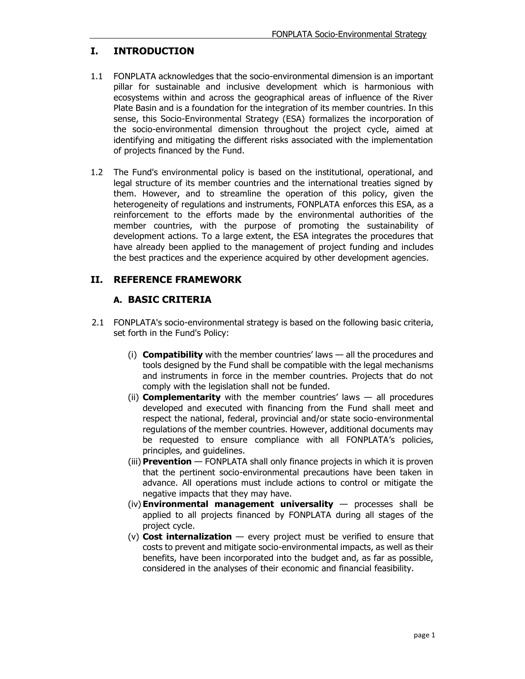### **I. INTRODUCTION**

- 1.1 FONPLATA acknowledges that the socio-environmental dimension is an important pillar for sustainable and inclusive development which is harmonious with ecosystems within and across the geographical areas of influence of the River Plate Basin and is a foundation for the integration of its member countries. In this sense, this Socio-Environmental Strategy (ESA) formalizes the incorporation of the socio-environmental dimension throughout the project cycle, aimed at identifying and mitigating the different risks associated with the implementation of projects financed by the Fund.
- 1.2 The Fund's environmental policy is based on the institutional, operational, and legal structure of its member countries and the international treaties signed by them. However, and to streamline the operation of this policy, given the heterogeneity of regulations and instruments, FONPLATA enforces this ESA, as a reinforcement to the efforts made by the environmental authorities of the member countries, with the purpose of promoting the sustainability of development actions. To a large extent, the ESA integrates the procedures that have already been applied to the management of project funding and includes the best practices and the experience acquired by other development agencies.

#### **II. REFERENCE FRAMEWORK**

## **A. BASIC CRITERIA**

- 2.1 FONPLATA's socio-environmental strategy is based on the following basic criteria, set forth in the Fund's Policy:
	- (i) **Compatibility** with the member countries' laws all the procedures and tools designed by the Fund shall be compatible with the legal mechanisms and instruments in force in the member countries. Projects that do not comply with the legislation shall not be funded.
	- (ii) **Complementarity** with the member countries' laws all procedures developed and executed with financing from the Fund shall meet and respect the national, federal, provincial and/or state socio-environmental regulations of the member countries. However, additional documents may be requested to ensure compliance with all FONPLATA's policies, principles, and guidelines.
	- (iii) **Prevention** FONPLATA shall only finance projects in which it is proven that the pertinent socio-environmental precautions have been taken in advance. All operations must include actions to control or mitigate the negative impacts that they may have.
	- (iv) **Environmental management universality** processes shall be applied to all projects financed by FONPLATA during all stages of the project cycle.
	- (v) **Cost internalization**  every project must be verified to ensure that costs to prevent and mitigate socio-environmental impacts, as well as their benefits, have been incorporated into the budget and, as far as possible, considered in the analyses of their economic and financial feasibility.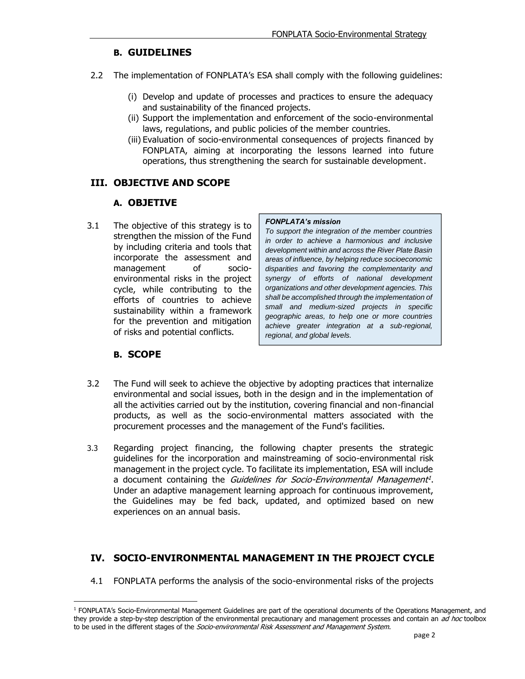#### **B. GUIDELINES**

- 2.2 The implementation of FONPLATA's ESA shall comply with the following guidelines:
	- (i) Develop and update of processes and practices to ensure the adequacy and sustainability of the financed projects.
	- (ii) Support the implementation and enforcement of the socio-environmental laws, regulations, and public policies of the member countries.
	- (iii) Evaluation of socio-environmental consequences of projects financed by FONPLATA, aiming at incorporating the lessons learned into future operations, thus strengthening the search for sustainable development.

#### <span id="page-4-0"></span>**III. OBJECTIVE AND SCOPE**

#### **A. OBJETIVE**

3.1 The objective of this strategy is to strengthen the mission of the Fund by including criteria and tools that incorporate the assessment and management of socioenvironmental risks in the project cycle, while contributing to the efforts of countries to achieve sustainability within a framework for the prevention and mitigation of risks and potential conflicts.

#### *FONPLATA's mission*

*To support the integration of the member countries in order to achieve a harmonious and inclusive development within and across the River Plate Basin areas of influence, by helping reduce socioeconomic disparities and favoring the complementarity and synergy of efforts of national development organizations and other development agencies. This shall be accomplished through the implementation of small and medium-sized projects in specific geographic areas, to help one or more countries achieve greater integration at a sub-regional, regional, and global levels.*

## **B. SCOPE**

- <span id="page-4-1"></span>3.2 The Fund will seek to achieve the objective by adopting practices that internalize environmental and social issues, both in the design and in the implementation of all the activities carried out by the institution, covering financial and non-financial products, as well as the socio-environmental matters associated with the procurement processes and the management of the Fund's facilities.
- 3.3 Regarding project financing, the following chapter presents the strategic guidelines for the incorporation and mainstreaming of socio-environmental risk management in the project cycle. To facilitate its implementation, ESA will include a document containing the *Guidelines for Socio-Environmental Management<sup>1</sup>*. Under an adaptive management learning approach for continuous improvement, the Guidelines may be fed back, updated, and optimized based on new experiences on an annual basis.

## <span id="page-4-2"></span>**IV. SOCIO-ENVIRONMENTAL MANAGEMENT IN THE PROJECT CYCLE**

4.1 FONPLATA performs the analysis of the socio-environmental risks of the projects

<sup>1</sup> FONPLATA's Socio-Environmental Management Guidelines are part of the operational documents of the Operations Management, and they provide a step-by-step description of the environmental precautionary and management processes and contain an ad hoc toolbox to be used in the different stages of the Socio-environmental Risk Assessment and Management System.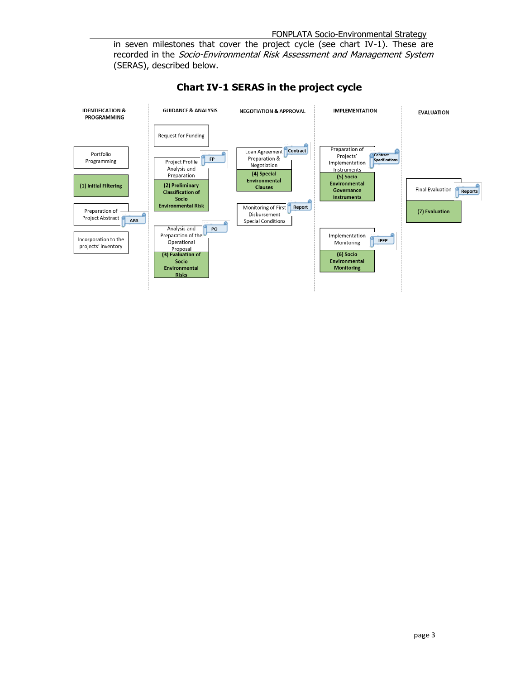in seven milestones that cover the project cycle (see chart IV-1). These are recorded in the Socio-Environmental Risk Assessment and Management System (SERAS), described below.



**Chart IV-1 SERAS in the project cycle**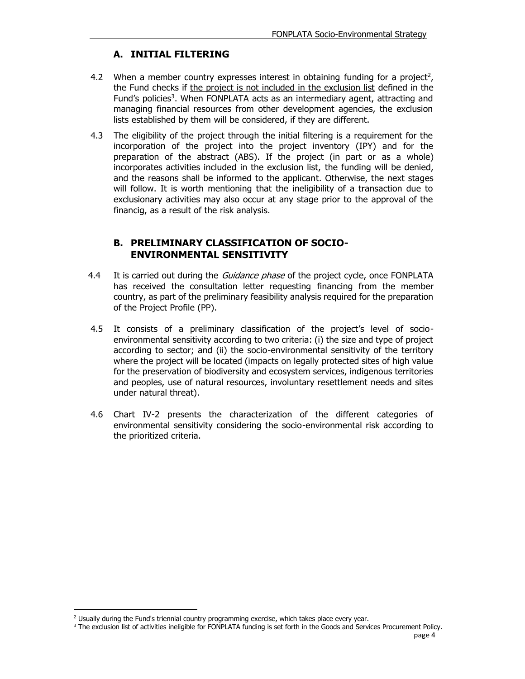### **A. INITIAL FILTERING**

- <span id="page-6-0"></span>4.2 When a member country expresses interest in obtaining funding for a project<sup>2</sup>, the Fund checks if the project is not included in the exclusion list defined in the Fund's policies<sup>3</sup>. When FONPLATA acts as an intermediary agent, attracting and managing financial resources from other development agencies, the exclusion lists established by them will be considered, if they are different.
- 4.3 The eligibility of the project through the initial filtering is a requirement for the incorporation of the project into the project inventory (IPY) and for the preparation of the abstract (ABS). If the project (in part or as a whole) incorporates activities included in the exclusion list, the funding will be denied, and the reasons shall be informed to the applicant. Otherwise, the next stages will follow. It is worth mentioning that the ineligibility of a transaction due to exclusionary activities may also occur at any stage prior to the approval of the financig, as a result of the risk analysis.

#### **B. PRELIMINARY CLASSIFICATION OF SOCIO-ENVIRONMENTAL SENSITIVITY**

- 4.4 It is carried out during the *Guidance phase* of the project cycle, once FONPLATA has received the consultation letter requesting financing from the member country, as part of the preliminary feasibility analysis required for the preparation of the Project Profile (PP).
- 4.5 It consists of a preliminary classification of the project's level of socioenvironmental sensitivity according to two criteria: (i) the size and type of project according to sector; and (ii) the socio-environmental sensitivity of the territory where the project will be located (impacts on legally protected sites of high value for the preservation of biodiversity and ecosystem services, indigenous territories and peoples, use of natural resources, involuntary resettlement needs and sites under natural threat).
- 4.6 Chart IV-2 presents the characterization of the different categories of environmental sensitivity considering the socio-environmental risk according to the prioritized criteria.

<sup>&</sup>lt;sup>2</sup> Usually during the Fund's triennial country programming exercise, which takes place every year.

<sup>&</sup>lt;sup>3</sup> The exclusion list of activities ineligible for FONPLATA funding is set forth in the Goods and Services Procurement Policy.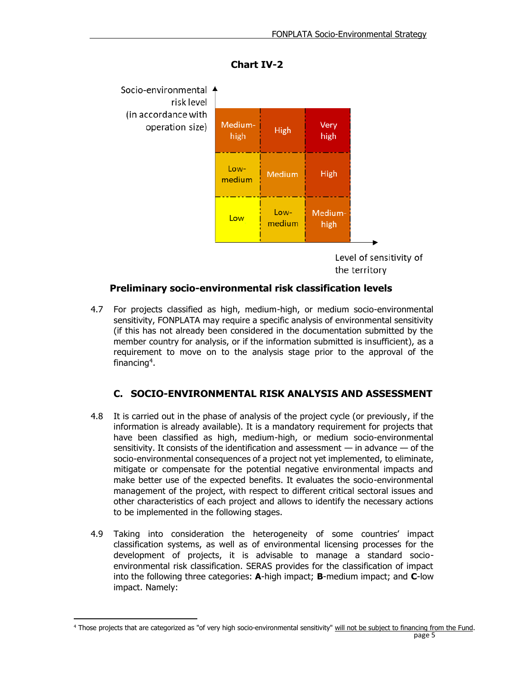

**Chart IV-2**

Level of sensitivity of the territory

#### **Preliminary socio-environmental risk classification levels**

4.7 For projects classified as high, medium-high, or medium socio-environmental sensitivity, FONPLATA may require a specific analysis of environmental sensitivity (if this has not already been considered in the documentation submitted by the member country for analysis, or if the information submitted is insufficient), as a requirement to move on to the analysis stage prior to the approval of the financing<sup>4</sup>.

## **C. SOCIO-ENVIRONMENTAL RISK ANALYSIS AND ASSESSMENT**

- <span id="page-7-0"></span>4.8 It is carried out in the phase of analysis of the project cycle (or previously, if the information is already available). It is a mandatory requirement for projects that have been classified as high, medium-high, or medium socio-environmental sensitivity. It consists of the identification and assessment  $-$  in advance  $-$  of the socio-environmental consequences of a project not yet implemented, to eliminate, mitigate or compensate for the potential negative environmental impacts and make better use of the expected benefits. It evaluates the socio-environmental management of the project, with respect to different critical sectoral issues and other characteristics of each project and allows to identify the necessary actions to be implemented in the following stages.
- 4.9 Taking into consideration the heterogeneity of some countries' impact classification systems, as well as of environmental licensing processes for the development of projects, it is advisable to manage a standard socioenvironmental risk classification. SERAS provides for the classification of impact into the following three categories: **A**-high impact; **B**-medium impact; and **C**-low impact. Namely:

page 5 <sup>4</sup> Those projects that are categorized as "of very high socio-environmental sensitivity" will not be subject to financing from the Fund.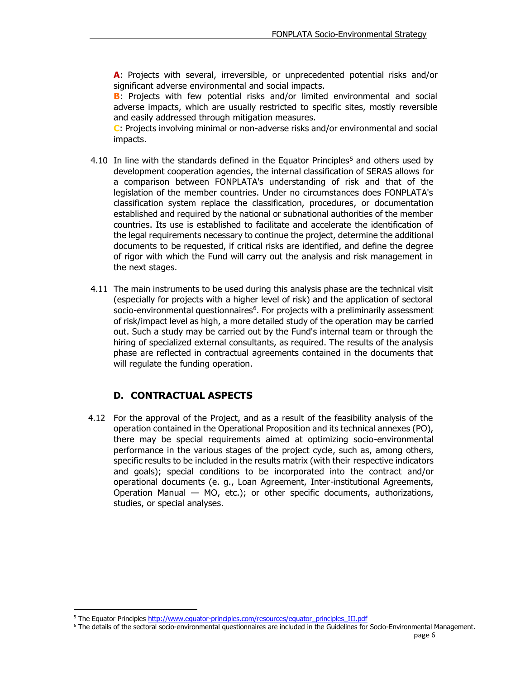**A**: Projects with several, irreversible, or unprecedented potential risks and/or significant adverse environmental and social impacts.

**B**: Projects with few potential risks and/or limited environmental and social adverse impacts, which are usually restricted to specific sites, mostly reversible and easily addressed through mitigation measures.

**C**: Projects involving minimal or non-adverse risks and/or environmental and social impacts.

- 4.10 In line with the standards defined in the Equator Principles<sup>5</sup> and others used by development cooperation agencies, the internal classification of SERAS allows for a comparison between FONPLATA's understanding of risk and that of the legislation of the member countries. Under no circumstances does FONPLATA's classification system replace the classification, procedures, or documentation established and required by the national or subnational authorities of the member countries. Its use is established to facilitate and accelerate the identification of the legal requirements necessary to continue the project, determine the additional documents to be requested, if critical risks are identified, and define the degree of rigor with which the Fund will carry out the analysis and risk management in the next stages.
- 4.11 The main instruments to be used during this analysis phase are the technical visit (especially for projects with a higher level of risk) and the application of sectoral socio-environmental questionnaires<sup>6</sup>. For projects with a preliminarily assessment of risk/impact level as high, a more detailed study of the operation may be carried out. Such a study may be carried out by the Fund's internal team or through the hiring of specialized external consultants, as required. The results of the analysis phase are reflected in contractual agreements contained in the documents that will regulate the funding operation.

## **D. CONTRACTUAL ASPECTS**

<span id="page-8-0"></span>4.12 For the approval of the Project, and as a result of the feasibility analysis of the operation contained in the Operational Proposition and its technical annexes (PO), there may be special requirements aimed at optimizing socio-environmental performance in the various stages of the project cycle, such as, among others, specific results to be included in the results matrix (with their respective indicators and goals); special conditions to be incorporated into the contract and/or operational documents (e. g., Loan Agreement, Inter-institutional Agreements, Operation Manual — MO, etc.); or other specific documents, authorizations, studies, or special analyses.

<sup>&</sup>lt;sup>5</sup> The Equator Principle[s http://www.equator-principles.com/resources/equator\\_principles\\_III.pdf](http://www.equator-principles.com/resources/equator_principles_III.pdf)

<sup>6</sup> The details of the sectoral socio-environmental questionnaires are included in the Guidelines for Socio-Environmental Management.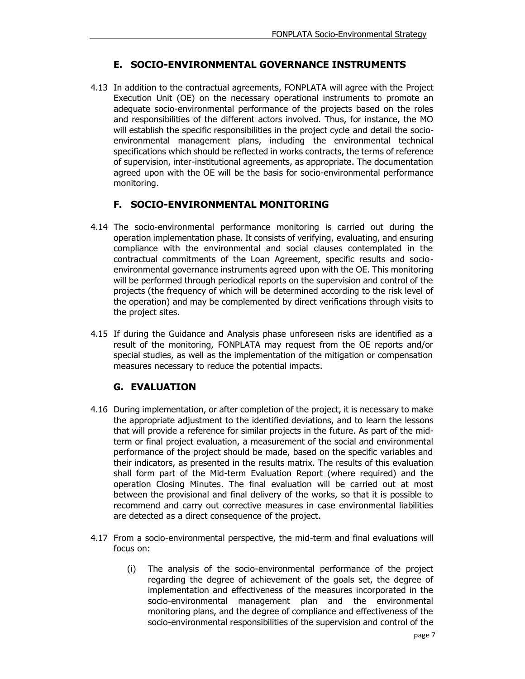## **E. SOCIO-ENVIRONMENTAL GOVERNANCE INSTRUMENTS**

<span id="page-9-0"></span>4.13 In addition to the contractual agreements, FONPLATA will agree with the Project Execution Unit (OE) on the necessary operational instruments to promote an adequate socio-environmental performance of the projects based on the roles and responsibilities of the different actors involved. Thus, for instance, the MO will establish the specific responsibilities in the project cycle and detail the socioenvironmental management plans, including the environmental technical specifications which should be reflected in works contracts, the terms of reference of supervision, inter-institutional agreements, as appropriate. The documentation agreed upon with the OE will be the basis for socio-environmental performance monitoring.

#### **F. SOCIO-ENVIRONMENTAL MONITORING**

- <span id="page-9-1"></span>4.14 The socio-environmental performance monitoring is carried out during the operation implementation phase. It consists of verifying, evaluating, and ensuring compliance with the environmental and social clauses contemplated in the contractual commitments of the Loan Agreement, specific results and socioenvironmental governance instruments agreed upon with the OE. This monitoring will be performed through periodical reports on the supervision and control of the projects (the frequency of which will be determined according to the risk level of the operation) and may be complemented by direct verifications through visits to the project sites.
- 4.15 If during the Guidance and Analysis phase unforeseen risks are identified as a result of the monitoring, FONPLATA may request from the OE reports and/or special studies, as well as the implementation of the mitigation or compensation measures necessary to reduce the potential impacts.

## **G. EVALUATION**

- <span id="page-9-2"></span>4.16 During implementation, or after completion of the project, it is necessary to make the appropriate adjustment to the identified deviations, and to learn the lessons that will provide a reference for similar projects in the future. As part of the midterm or final project evaluation, a measurement of the social and environmental performance of the project should be made, based on the specific variables and their indicators, as presented in the results matrix. The results of this evaluation shall form part of the Mid-term Evaluation Report (where required) and the operation Closing Minutes. The final evaluation will be carried out at most between the provisional and final delivery of the works, so that it is possible to recommend and carry out corrective measures in case environmental liabilities are detected as a direct consequence of the project.
- 4.17 From a socio-environmental perspective, the mid-term and final evaluations will focus on:
	- (i) The analysis of the socio-environmental performance of the project regarding the degree of achievement of the goals set, the degree of implementation and effectiveness of the measures incorporated in the socio-environmental management plan and the environmental monitoring plans, and the degree of compliance and effectiveness of the socio-environmental responsibilities of the supervision and control of the